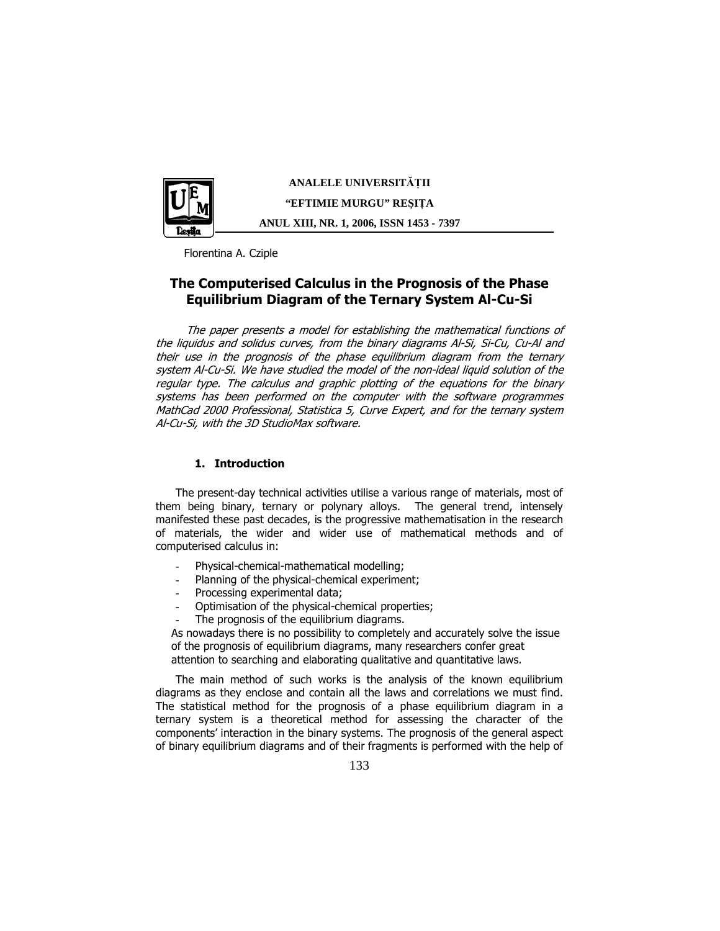

**ANALELE UNIVERSIT**Ăł**II "EFTIMIE MURGU" RE**Ş**I**ł**A ANUL XIII, NR. 1, 2006, ISSN 1453 - 7397** 

Florentina A. Cziple

# The Computerised Calculus in the Prognosis of the Phase Equilibrium Diagram of the Ternary System Al-Cu-Si

The paper presents a model for establishing the mathematical functions of the liquidus and solidus curves, from the binary diagrams Al-Si, Si-Cu, Cu-Al and their use in the prognosis of the phase equilibrium diagram from the ternary system Al-Cu-Si. We have studied the model of the non-ideal liquid solution of the regular type. The calculus and graphic plotting of the equations for the binary systems has been performed on the computer with the software programmes MathCad 2000 Professional, Statistica 5, Curve Expert, and for the ternary system Al-Cu-Si, with the 3D StudioMax software.

### 1. Introduction

The present-day technical activities utilise a various range of materials, most of them being binary, ternary or polynary alloys. The general trend, intensely manifested these past decades, is the progressive mathematisation in the research of materials, the wider and wider use of mathematical methods and of computerised calculus in:

- Physical-chemical-mathematical modelling;
- Planning of the physical-chemical experiment;
- Processing experimental data:
- Optimisation of the physical-chemical properties;
- The prognosis of the equilibrium diagrams.

As nowadays there is no possibility to completely and accurately solve the issue of the prognosis of equilibrium diagrams, many researchers confer great attention to searching and elaborating qualitative and quantitative laws.

The main method of such works is the analysis of the known equilibrium diagrams as they enclose and contain all the laws and correlations we must find. The statistical method for the prognosis of a phase equilibrium diagram in a ternary system is a theoretical method for assessing the character of the components' interaction in the binary systems. The prognosis of the general aspect of binary equilibrium diagrams and of their fragments is performed with the help of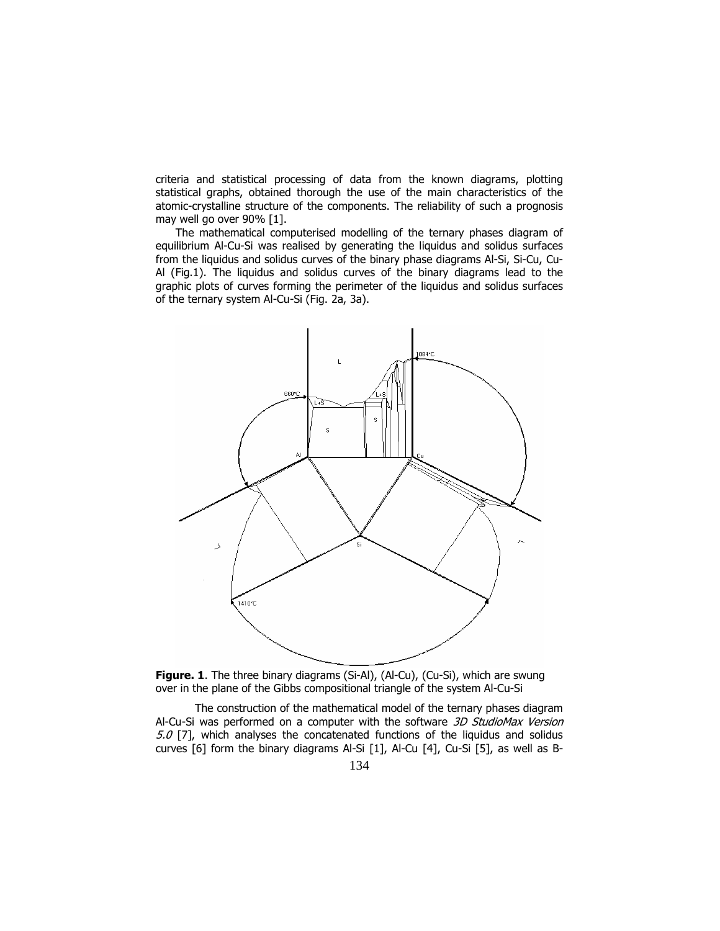criteria and statistical processing of data from the known diagrams, plotting statistical graphs, obtained thorough the use of the main characteristics of the atomic-crystalline structure of the components. The reliability of such a prognosis may well go over 90% [1].

The mathematical computerised modelling of the ternary phases diagram of equilibrium Al-Cu-Si was realised by generating the liquidus and solidus surfaces from the liquidus and solidus curves of the binary phase diagrams Al-Si, Si-Cu, Cu-Al (Fig.1). The liquidus and solidus curves of the binary diagrams lead to the graphic plots of curves forming the perimeter of the liquidus and solidus surfaces of the ternary system Al-Cu-Si (Fig. 2a, 3a).



Figure. 1. The three binary diagrams (Si-Al), (Al-Cu), (Cu-Si), which are swung over in the plane of the Gibbs compositional triangle of the system Al-Cu-Si

The construction of the mathematical model of the ternary phases diagram Al-Cu-Si was performed on a computer with the software 3D StudioMax Version  $5.0$  [7], which analyses the concatenated functions of the liquidus and solidus curves [6] form the binary diagrams Al-Si [1], Al-Cu [4], Cu-Si [5], as well as B-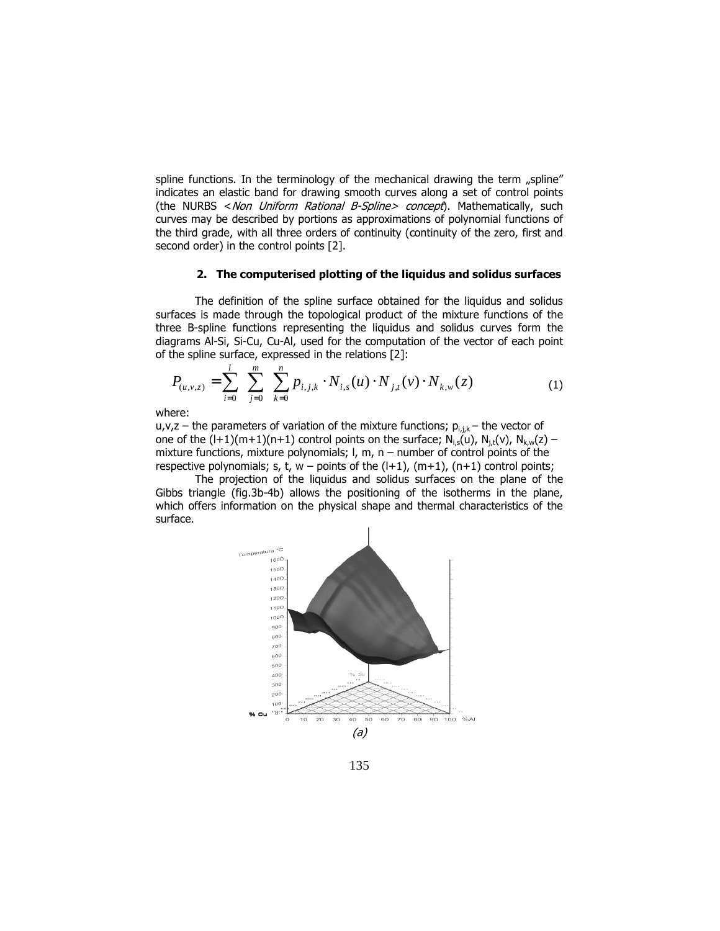spline functions. In the terminology of the mechanical drawing the term  $n$ spline" indicates an elastic band for drawing smooth curves along a set of control points (the NURBS < Non Uniform Rational B-Spline> concept). Mathematically, such curves may be described by portions as approximations of polynomial functions of the third grade, with all three orders of continuity (continuity of the zero, first and second order) in the control points [2].

### 2. The computerised plotting of the liquidus and solidus surfaces

The definition of the spline surface obtained for the liquidus and solidus surfaces is made through the topological product of the mixture functions of the three B-spline functions representing the liquidus and solidus curves form the diagrams Al-Si, Si-Cu, Cu-Al, used for the computation of the vector of each point of the spline surface, expressed in the relations [2]:

$$
P_{(u,v,z)} = \sum_{i=0}^{l} \sum_{j=0}^{m} \sum_{k=0}^{n} p_{i,j,k} \cdot N_{i,s}(u) \cdot N_{j,t}(v) \cdot N_{k,w}(z)
$$
 (1)

where:

 $u, v, z$  – the parameters of variation of the mixture functions;  $p_{i,j,k}$  – the vector of one of the  $(l+1)(m+1)(n+1)$  control points on the surface;  $N_{i,s}(u)$ ,  $N_{j,t}(v)$ ,  $N_{k,w}(z)$  – mixture functions, mixture polynomials;  $l$ , m, n – number of control points of the respective polynomials; s, t,  $w$  – points of the  $(l+1)$ ,  $(m+1)$ ,  $(n+1)$  control points;

The projection of the liquidus and solidus surfaces on the plane of the Gibbs triangle (fig.3b-4b) allows the positioning of the isotherms in the plane, which offers information on the physical shape and thermal characteristics of the surface.



135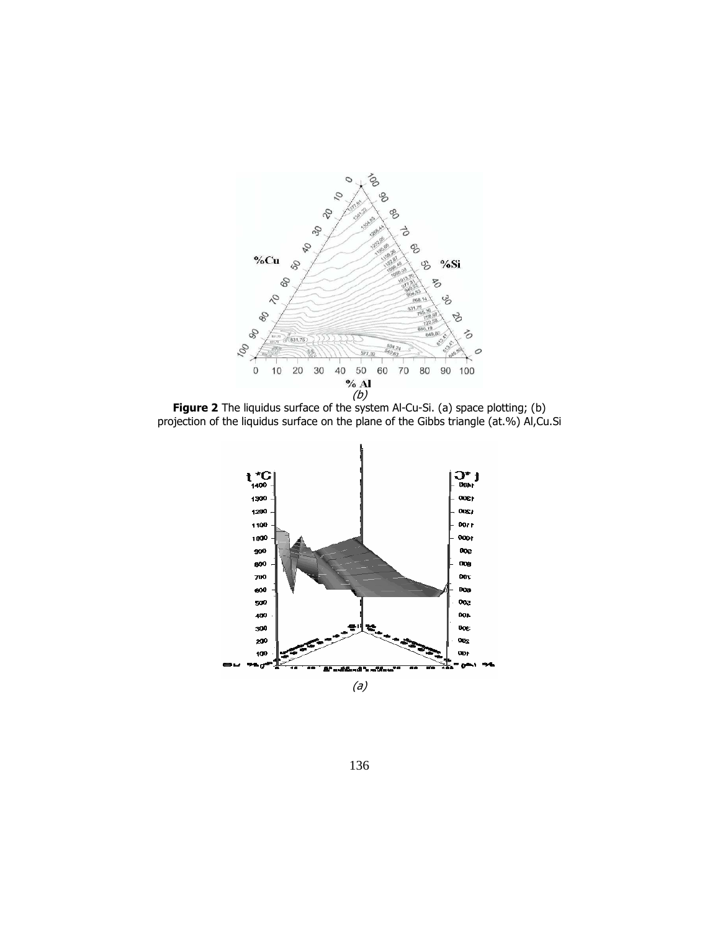

**Figure 2** The liquidus surface of the system Al-Cu-Si. (a) space plotting; (b) projection of the liquidus surface on the plane of the Gibbs triangle (at.%) Al,Cu.Si



136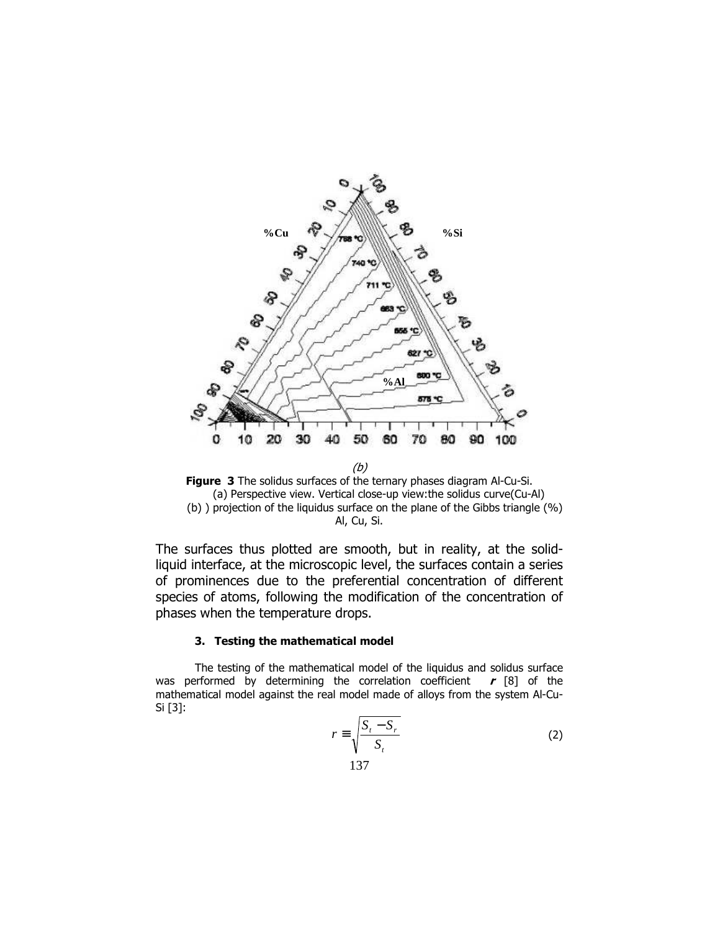

Figure 3 The solidus surfaces of the ternary phases diagram Al-Cu-Si. (a) Perspective view. Vertical close-up view:the solidus curve(Cu-Al) (b) ) projection of the liquidus surface on the plane of the Gibbs triangle (%) Al, Cu, Si.

The surfaces thus plotted are smooth, but in reality, at the solidliquid interface, at the microscopic level, the surfaces contain a series of prominences due to the preferential concentration of different species of atoms, following the modification of the concentration of phases when the temperature drops.

## 3. Testing the mathematical model

The testing of the mathematical model of the liquidus and solidus surface was performed by determining the correlation coefficient  $r$  [8] of the mathematical model against the real model made of alloys from the system Al-Cu-Si [3]:

$$
r \equiv \sqrt{\frac{S_t - S_r}{S_t}}
$$
 (2)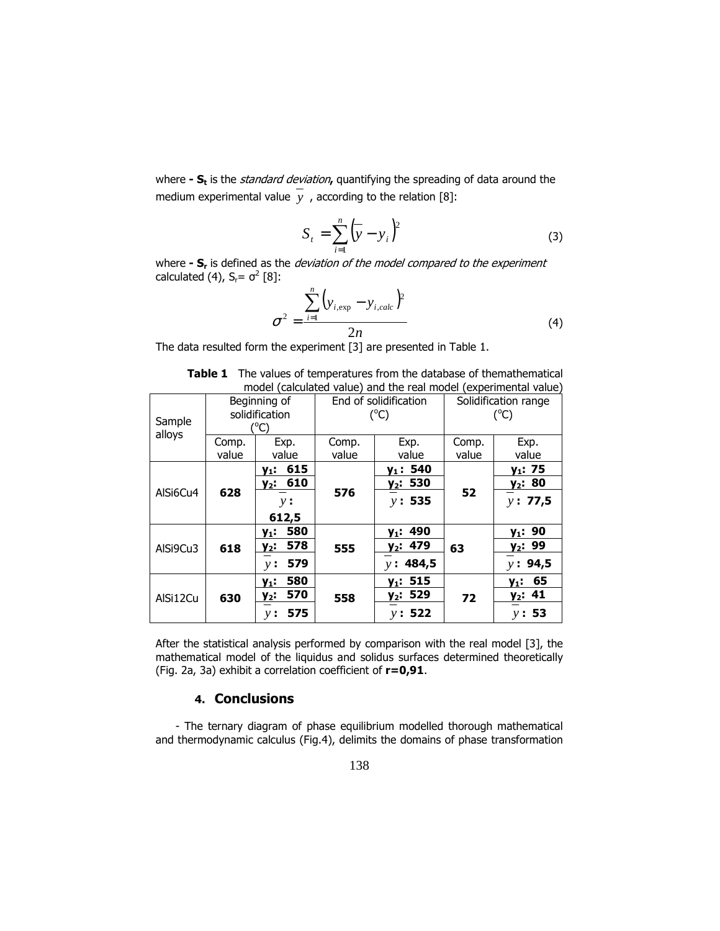where **- S<sub>t</sub>** is the *standard deviation*, quantifying the spreading of data around the medium experimental value  $\overline{y}$ , according to the relation [8]:

$$
S_{t} = \sum_{i=1}^{n} (\overline{y} - y_{i})^{2}
$$
 (3)

where **- S<sub>r</sub>** is defined as the *deviation of the model compared to the experiment* calculated (4),  $S_r = \sigma^2$  [8]:

$$
\sigma^{2} = \frac{\sum_{i=1}^{n} (y_{i,exp} - y_{i,calc})^{2}}{2n}
$$
 (4)

The data resulted form the experiment [3] are presented in Table 1.

| model (calculated value) and the real model (experimental value) |                                                 |                                                        |                                        |                                              |                                       |                                                   |  |  |  |  |
|------------------------------------------------------------------|-------------------------------------------------|--------------------------------------------------------|----------------------------------------|----------------------------------------------|---------------------------------------|---------------------------------------------------|--|--|--|--|
| Sample<br>alloys                                                 | Beginning of<br>solidification<br>$^{\circ}$ C) |                                                        | End of solidification<br>$(^{\circ}C)$ |                                              | Solidification range<br>$(^{\circ}C)$ |                                                   |  |  |  |  |
|                                                                  | Comp.<br>value                                  | Exp.<br>value                                          | Comp.<br>value                         | Exp.<br>value                                | Comp.<br>value                        | Exp.<br>value                                     |  |  |  |  |
| AlSi6Cu4                                                         | 628                                             | 615<br>$y_1$ :<br>$y_2$ : 610<br>y:<br>612,5           | 576                                    | $y_1: 540$<br>y <sub>2</sub> : 530<br>v: 535 | 52                                    | $y_1: 75$<br>$y_2$ : 80<br>v: 77,5                |  |  |  |  |
| AlSi9Cu3                                                         | 618                                             | 580<br>у1:<br>578<br>$y_2$ :<br>579<br>v:              | 555                                    | $y_1: 490$<br>$y_2$ : 479<br>y: 484,5        | 63                                    | $y_1: 90$<br><u>y<sub>2</sub></u> : 99<br>v: 94,5 |  |  |  |  |
| AlSi12Cu                                                         | 630                                             | 580<br>y <sub>1</sub> :<br>570<br>$y_2$ :<br>575<br>ν: | 558                                    | $y_1: 515$<br>$y_2: 529$<br>v: 522           | 72                                    | 65<br>$y_1$ :<br>$y_2$ : 41<br>y: 53              |  |  |  |  |

|  |                                                                  | <b>Table 1</b> The values of temperatures from the database of themathematical |  |  |
|--|------------------------------------------------------------------|--------------------------------------------------------------------------------|--|--|
|  | model (calculated value) and the real model (experimental value) |                                                                                |  |  |

After the statistical analysis performed by comparison with the real model [3], the mathematical model of the liquidus and solidus surfaces determined theoretically (Fig. 2a, 3a) exhibit a correlation coefficient of r=0,91.

# 4. Conclusions

- The ternary diagram of phase equilibrium modelled thorough mathematical and thermodynamic calculus (Fig.4), delimits the domains of phase transformation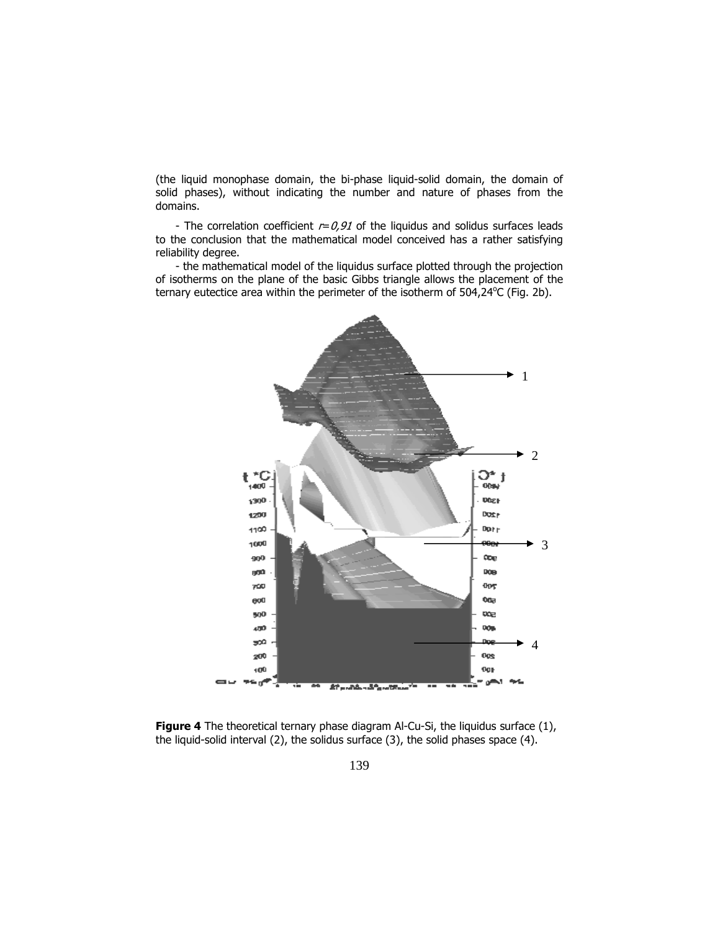(the liquid monophase domain, the bi-phase liquid-solid domain, the domain of solid phases), without indicating the number and nature of phases from the domains.

- The correlation coefficient  $r=0.91$  of the liquidus and solidus surfaces leads to the conclusion that the mathematical model conceived has a rather satisfying reliability degree.

- the mathematical model of the liquidus surface plotted through the projection of isotherms on the plane of the basic Gibbs triangle allows the placement of the ternary eutectice area within the perimeter of the isotherm of 504,24°C (Fig. 2b).



**Figure 4** The theoretical ternary phase diagram Al-Cu-Si, the liquidus surface (1), the liquid-solid interval (2), the solidus surface (3), the solid phases space (4).